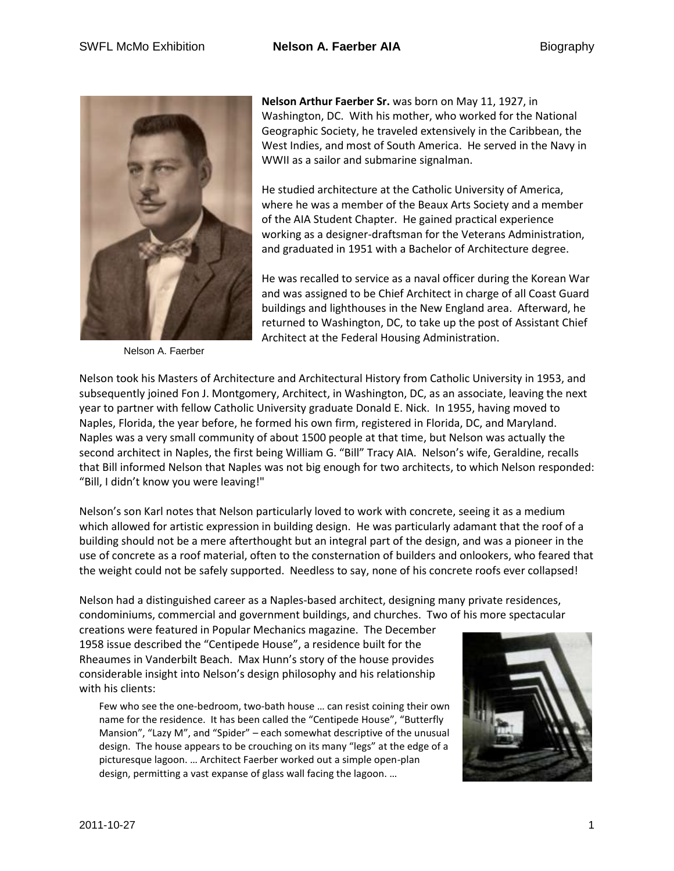

Nelson A. Faerber

**Nelson Arthur Faerber Sr.** was born on May 11, 1927, in Washington, DC. With his mother, who worked for the National Geographic Society, he traveled extensively in the Caribbean, the West Indies, and most of South America. He served in the Navy in WWII as a sailor and submarine signalman.

He studied architecture at the Catholic University of America, where he was a member of the Beaux Arts Society and a member of the AIA Student Chapter. He gained practical experience working as a designer-draftsman for the Veterans Administration, and graduated in 1951 with a Bachelor of Architecture degree.

He was recalled to service as a naval officer during the Korean War and was assigned to be Chief Architect in charge of all Coast Guard buildings and lighthouses in the New England area. Afterward, he returned to Washington, DC, to take up the post of Assistant Chief Architect at the Federal Housing Administration.

Nelson took his Masters of Architecture and Architectural History from Catholic University in 1953, and subsequently joined Fon J. Montgomery, Architect, in Washington, DC, as an associate, leaving the next year to partner with fellow Catholic University graduate Donald E. Nick. In 1955, having moved to Naples, Florida, the year before, he formed his own firm, registered in Florida, DC, and Maryland. Naples was a very small community of about 1500 people at that time, but Nelson was actually the second architect in Naples, the first being William G. "Bill" Tracy AIA. Nelson's wife, Geraldine, recalls that Bill informed Nelson that Naples was not big enough for two architects, to which Nelson responded: "Bill, I didn't know you were leaving!"

Nelson's son Karl notes that Nelson particularly loved to work with concrete, seeing it as a medium which allowed for artistic expression in building design. He was particularly adamant that the roof of a building should not be a mere afterthought but an integral part of the design, and was a pioneer in the use of concrete as a roof material, often to the consternation of builders and onlookers, who feared that the weight could not be safely supported. Needless to say, none of his concrete roofs ever collapsed!

Nelson had a distinguished career as a Naples-based architect, designing many private residences, condominiums, commercial and government buildings, and churches. Two of his more spectacular

creations were featured in Popular Mechanics magazine. The December 1958 issue described the "Centipede House", a residence built for the Rheaumes in Vanderbilt Beach. Max Hunn's story of the house provides considerable insight into Nelson's design philosophy and his relationship with his clients:

Few who see the one-bedroom, two-bath house … can resist coining their own name for the residence. It has been called the "Centipede House", "Butterfly Mansion", "Lazy M", and "Spider" – each somewhat descriptive of the unusual design. The house appears to be crouching on its many "legs" at the edge of a picturesque lagoon. … Architect Faerber worked out a simple open-plan design, permitting a vast expanse of glass wall facing the lagoon. …

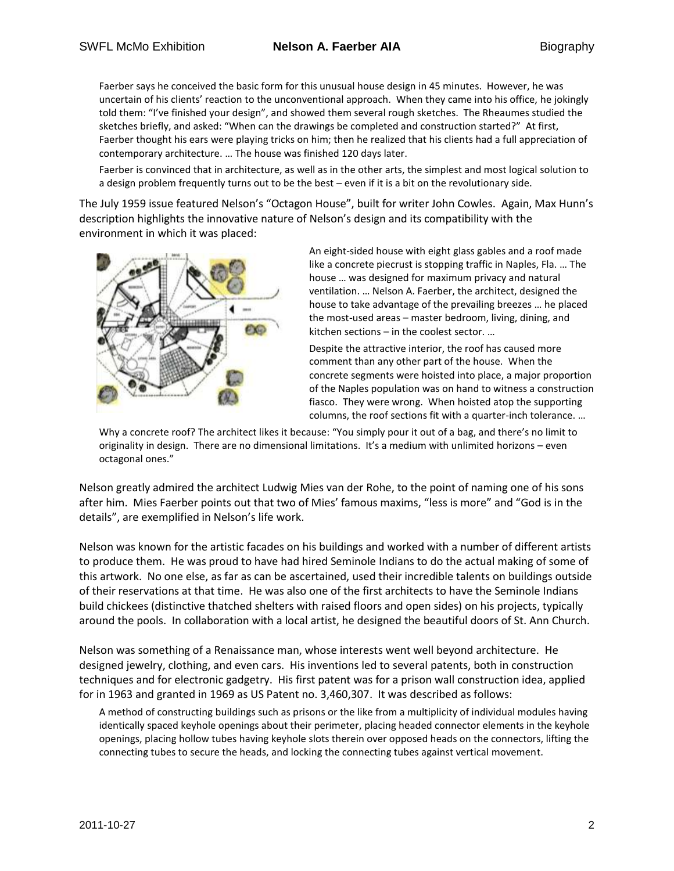Faerber says he conceived the basic form for this unusual house design in 45 minutes. However, he was uncertain of his clients' reaction to the unconventional approach. When they came into his office, he jokingly told them: "I've finished your design", and showed them several rough sketches. The Rheaumes studied the sketches briefly, and asked: "When can the drawings be completed and construction started?" At first, Faerber thought his ears were playing tricks on him; then he realized that his clients had a full appreciation of contemporary architecture. … The house was finished 120 days later.

Faerber is convinced that in architecture, as well as in the other arts, the simplest and most logical solution to a design problem frequently turns out to be the best – even if it is a bit on the revolutionary side.

The July 1959 issue featured Nelson's "Octagon House", built for writer John Cowles. Again, Max Hunn's description highlights the innovative nature of Nelson's design and its compatibility with the environment in which it was placed:



An eight-sided house with eight glass gables and a roof made like a concrete piecrust is stopping traffic in Naples, Fla. … The house … was designed for maximum privacy and natural ventilation. … Nelson A. Faerber, the architect, designed the house to take advantage of the prevailing breezes … he placed the most-used areas – master bedroom, living, dining, and kitchen sections – in the coolest sector. …

Despite the attractive interior, the roof has caused more comment than any other part of the house. When the concrete segments were hoisted into place, a major proportion of the Naples population was on hand to witness a construction fiasco. They were wrong. When hoisted atop the supporting columns, the roof sections fit with a quarter-inch tolerance. …

Why a concrete roof? The architect likes it because: "You simply pour it out of a bag, and there's no limit to originality in design. There are no dimensional limitations. It's a medium with unlimited horizons – even octagonal ones."

Nelson greatly admired the architect Ludwig Mies van der Rohe, to the point of naming one of his sons after him. Mies Faerber points out that two of Mies' famous maxims, "less is more" and "God is in the details", are exemplified in Nelson's life work.

Nelson was known for the artistic facades on his buildings and worked with a number of different artists to produce them. He was proud to have had hired Seminole Indians to do the actual making of some of this artwork. No one else, as far as can be ascertained, used their incredible talents on buildings outside of their reservations at that time. He was also one of the first architects to have the Seminole Indians build chickees (distinctive thatched shelters with raised floors and open sides) on his projects, typically around the pools. In collaboration with a local artist, he designed the beautiful doors of St. Ann Church.

Nelson was something of a Renaissance man, whose interests went well beyond architecture. He designed jewelry, clothing, and even cars. His inventions led to several patents, both in construction techniques and for electronic gadgetry. His first patent was for a prison wall construction idea, applied for in 1963 and granted in 1969 as US Patent no. 3,460,307. It was described as follows:

A method of constructing buildings such as prisons or the like from a multiplicity of individual modules having identically spaced keyhole openings about their perimeter, placing headed connector elements in the keyhole openings, placing hollow tubes having keyhole slots therein over opposed heads on the connectors, lifting the connecting tubes to secure the heads, and locking the connecting tubes against vertical movement.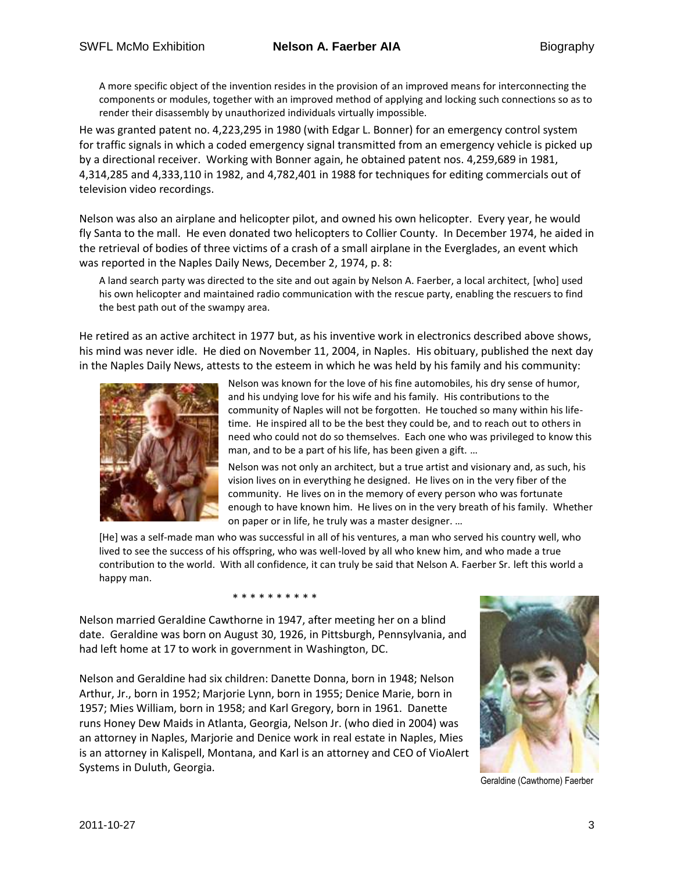A more specific object of the invention resides in the provision of an improved means for interconnecting the components or modules, together with an improved method of applying and locking such connections so as to render their disassembly by unauthorized individuals virtually impossible.

He was granted patent no. 4,223,295 in 1980 (with Edgar L. Bonner) for an emergency control system for traffic signals in which a coded emergency signal transmitted from an emergency vehicle is picked up by a directional receiver. Working with Bonner again, he obtained patent nos. 4,259,689 in 1981, 4,314,285 and 4,333,110 in 1982, and 4,782,401 in 1988 for techniques for editing commercials out of television video recordings.

Nelson was also an airplane and helicopter pilot, and owned his own helicopter. Every year, he would fly Santa to the mall. He even donated two helicopters to Collier County. In December 1974, he aided in the retrieval of bodies of three victims of a crash of a small airplane in the Everglades, an event which was reported in the Naples Daily News, December 2, 1974, p. 8:

A land search party was directed to the site and out again by Nelson A. Faerber, a local architect, [who] used his own helicopter and maintained radio communication with the rescue party, enabling the rescuers to find the best path out of the swampy area.

He retired as an active architect in 1977 but, as his inventive work in electronics described above shows, his mind was never idle. He died on November 11, 2004, in Naples. His obituary, published the next day in the Naples Daily News, attests to the esteem in which he was held by his family and his community:



Nelson was known for the love of his fine automobiles, his dry sense of humor, and his undying love for his wife and his family. His contributions to the community of Naples will not be forgotten. He touched so many within his lifetime. He inspired all to be the best they could be, and to reach out to others in need who could not do so themselves. Each one who was privileged to know this man, and to be a part of his life, has been given a gift. …

Nelson was not only an architect, but a true artist and visionary and, as such, his vision lives on in everything he designed. He lives on in the very fiber of the community. He lives on in the memory of every person who was fortunate enough to have known him. He lives on in the very breath of his family. Whether on paper or in life, he truly was a master designer. …

[He] was a self-made man who was successful in all of his ventures, a man who served his country well, who lived to see the success of his offspring, who was well-loved by all who knew him, and who made a true contribution to the world. With all confidence, it can truly be said that Nelson A. Faerber Sr. left this world a happy man.

\* \* \* \* \* \* \* \* \*

Nelson married Geraldine Cawthorne in 1947, after meeting her on a blind date. Geraldine was born on August 30, 1926, in Pittsburgh, Pennsylvania, and had left home at 17 to work in government in Washington, DC.

Nelson and Geraldine had six children: Danette Donna, born in 1948; Nelson Arthur, Jr., born in 1952; Marjorie Lynn, born in 1955; Denice Marie, born in 1957; Mies William, born in 1958; and Karl Gregory, born in 1961. Danette runs Honey Dew Maids in Atlanta, Georgia, Nelson Jr. (who died in 2004) was an attorney in Naples, Marjorie and Denice work in real estate in Naples, Mies is an attorney in Kalispell, Montana, and Karl is an attorney and CEO of VioAlert Systems in Duluth, Georgia.



Geraldine (Cawthorne) Faerber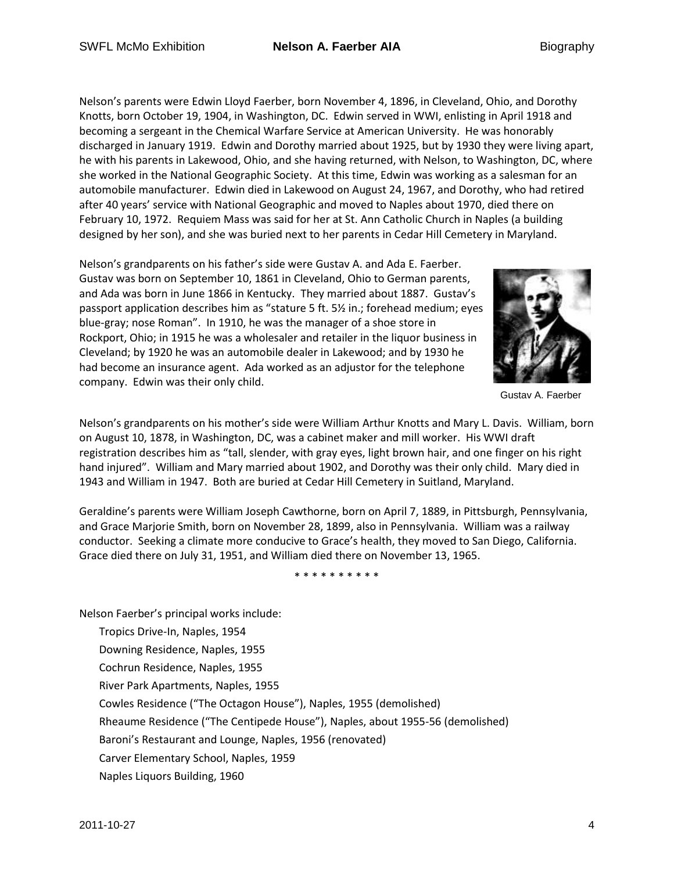Nelson's parents were Edwin Lloyd Faerber, born November 4, 1896, in Cleveland, Ohio, and Dorothy Knotts, born October 19, 1904, in Washington, DC. Edwin served in WWI, enlisting in April 1918 and becoming a sergeant in the Chemical Warfare Service at American University. He was honorably discharged in January 1919. Edwin and Dorothy married about 1925, but by 1930 they were living apart, he with his parents in Lakewood, Ohio, and she having returned, with Nelson, to Washington, DC, where she worked in the National Geographic Society. At this time, Edwin was working as a salesman for an automobile manufacturer. Edwin died in Lakewood on August 24, 1967, and Dorothy, who had retired after 40 years' service with National Geographic and moved to Naples about 1970, died there on February 10, 1972. Requiem Mass was said for her at St. Ann Catholic Church in Naples (a building designed by her son), and she was buried next to her parents in Cedar Hill Cemetery in Maryland.

Nelson's grandparents on his father's side were Gustav A. and Ada E. Faerber. Gustav was born on September 10, 1861 in Cleveland, Ohio to German parents, and Ada was born in June 1866 in Kentucky. They married about 1887. Gustav's passport application describes him as "stature 5 ft. 5½ in.; forehead medium; eyes blue-gray; nose Roman". In 1910, he was the manager of a shoe store in Rockport, Ohio; in 1915 he was a wholesaler and retailer in the liquor business in Cleveland; by 1920 he was an automobile dealer in Lakewood; and by 1930 he had become an insurance agent. Ada worked as an adjustor for the telephone company. Edwin was their only child.



Gustav A. Faerber

Nelson's grandparents on his mother's side were William Arthur Knotts and Mary L. Davis. William, born on August 10, 1878, in Washington, DC, was a cabinet maker and mill worker. His WWI draft registration describes him as "tall, slender, with gray eyes, light brown hair, and one finger on his right hand injured". William and Mary married about 1902, and Dorothy was their only child. Mary died in 1943 and William in 1947. Both are buried at Cedar Hill Cemetery in Suitland, Maryland.

Geraldine's parents were William Joseph Cawthorne, born on April 7, 1889, in Pittsburgh, Pennsylvania, and Grace Marjorie Smith, born on November 28, 1899, also in Pennsylvania. William was a railway conductor. Seeking a climate more conducive to Grace's health, they moved to San Diego, California. Grace died there on July 31, 1951, and William died there on November 13, 1965.

\* \* \* \* \* \* \* \* \* \*

Nelson Faerber's principal works include:

Tropics Drive-In, Naples, 1954 Downing Residence, Naples, 1955 Cochrun Residence, Naples, 1955 River Park Apartments, Naples, 1955 Cowles Residence ("The Octagon House"), Naples, 1955 (demolished) Rheaume Residence ("The Centipede House"), Naples, about 1955-56 (demolished) Baroni's Restaurant and Lounge, Naples, 1956 (renovated) Carver Elementary School, Naples, 1959 Naples Liquors Building, 1960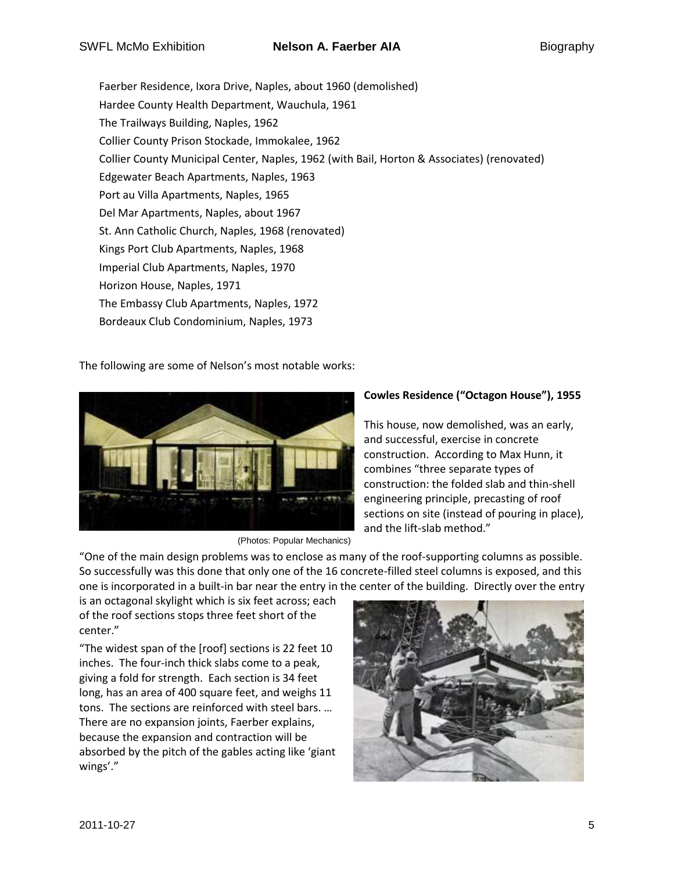Faerber Residence, Ixora Drive, Naples, about 1960 (demolished) Hardee County Health Department, Wauchula, 1961 The Trailways Building, Naples, 1962 Collier County Prison Stockade, Immokalee, 1962 Collier County Municipal Center, Naples, 1962 (with Bail, Horton & Associates) (renovated) Edgewater Beach Apartments, Naples, 1963 Port au Villa Apartments, Naples, 1965 Del Mar Apartments, Naples, about 1967 St. Ann Catholic Church, Naples, 1968 (renovated) Kings Port Club Apartments, Naples, 1968 Imperial Club Apartments, Naples, 1970 Horizon House, Naples, 1971 The Embassy Club Apartments, Naples, 1972 Bordeaux Club Condominium, Naples, 1973

The following are some of Nelson's most notable works:



(Photos: Popular Mechanics)

# **Cowles Residence ("Octagon House"), 1955**

This house, now demolished, was an early, and successful, exercise in concrete construction. According to Max Hunn, it combines "three separate types of construction: the folded slab and thin-shell engineering principle, precasting of roof sections on site (instead of pouring in place), and the lift-slab method."

"One of the main design problems was to enclose as many of the roof-supporting columns as possible. So successfully was this done that only one of the 16 concrete-filled steel columns is exposed, and this one is incorporated in a built-in bar near the entry in the center of the building. Directly over the entry

is an octagonal skylight which is six feet across; each of the roof sections stops three feet short of the center."

"The widest span of the  $[root]$  sections is 22 feet 10 inches. The four-inch thick slabs come to a peak, giving a fold for strength. Each section is 34 feet long, has an area of 400 square feet, and weighs 11 tons. The sections are reinforced with steel bars. … There are no expansion joints, Faerber explains, because the expansion and contraction will be absorbed by the pitch of the gables acting like 'giant wings'."

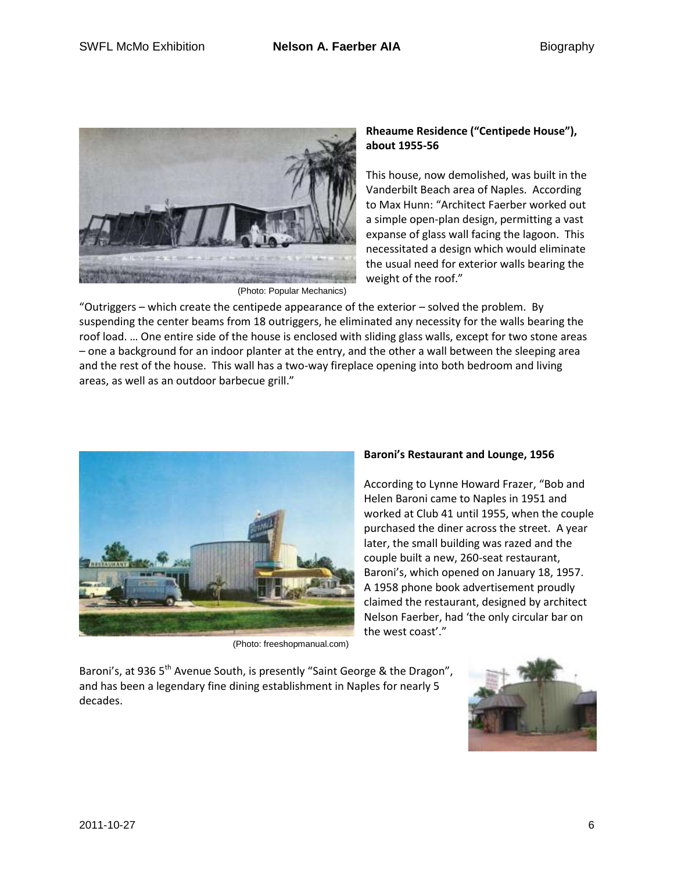

## **Rheaume Residence ("Centipede House"), about 1955-56**

This house, now demolished, was built in the Vanderbilt Beach area of Naples. According to Max Hunn: "Architect Faerber worked out a simple open-plan design, permitting a vast expanse of glass wall facing the lagoon. This necessitated a design which would eliminate the usual need for exterior walls bearing the weight of the roof."

(Photo: Popular Mechanics)

"Outriggers – which create the centipede appearance of the exterior – solved the problem. By suspending the center beams from 18 outriggers, he eliminated any necessity for the walls bearing the roof load. … One entire side of the house is enclosed with sliding glass walls, except for two stone areas – one a background for an indoor planter at the entry, and the other a wall between the sleeping area and the rest of the house. This wall has a two-way fireplace opening into both bedroom and living areas, as well as an outdoor barbecue grill."



(Photo: freeshopmanual.com)

## **Baroni's Restaurant and Lounge, 1956**

According to Lynne Howard Frazer, "Bob and Helen Baroni came to Naples in 1951 and worked at Club 41 until 1955, when the couple purchased the diner across the street. A year later, the small building was razed and the couple built a new, 260-seat restaurant, Baroni's, which opened on January 18, 1957. A 1958 phone book advertisement proudly claimed the restaurant, designed by architect Nelson Faerber, had 'the only circular bar on the west coast'."

Baroni's, at 936 5<sup>th</sup> Avenue South, is presently "Saint George & the Dragon", and has been a legendary fine dining establishment in Naples for nearly 5 decades.

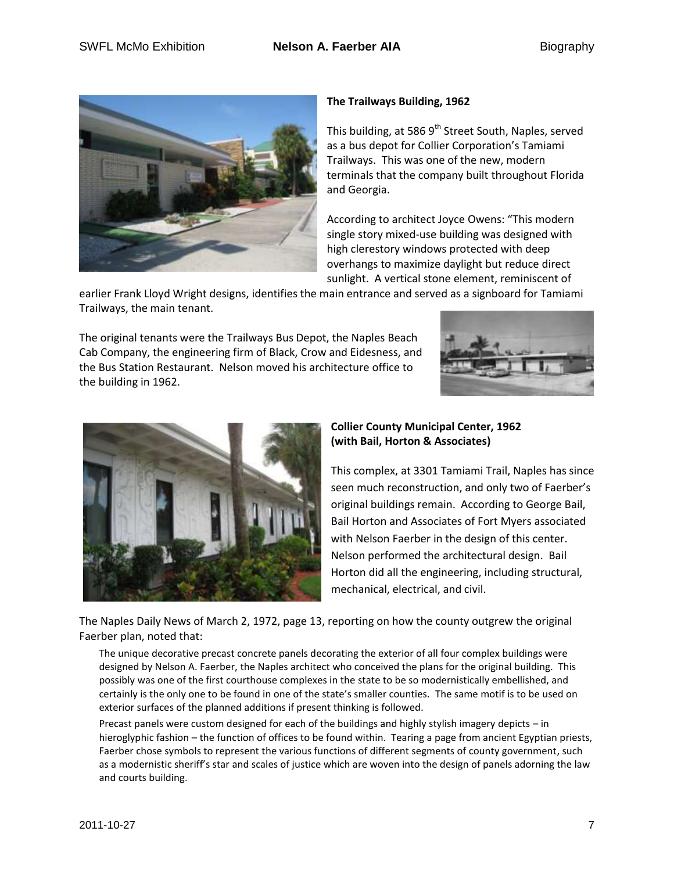

## **The Trailways Building, 1962**

This building, at 586  $9<sup>th</sup>$  Street South, Naples, served as a bus depot for Collier Corporation's Tamiami Trailways. This was one of the new, modern terminals that the company built throughout Florida and Georgia.

According to architect Joyce Owens: "This modern single story mixed-use building was designed with high clerestory windows protected with deep overhangs to maximize daylight but reduce direct sunlight. A vertical stone element, reminiscent of

earlier Frank Lloyd Wright designs, identifies the main entrance and served as a signboard for Tamiami Trailways, the main tenant.

The original tenants were the Trailways Bus Depot, the Naples Beach Cab Company, the engineering firm of Black, Crow and Eidesness, and the Bus Station Restaurant. Nelson moved his architecture office to the building in 1962.





### **Collier County Municipal Center, 1962 (with Bail, Horton & Associates)**

This complex, at 3301 Tamiami Trail, Naples has since seen much reconstruction, and only two of Faerber's original buildings remain. According to George Bail, Bail Horton and Associates of Fort Myers associated with Nelson Faerber in the design of this center. Nelson performed the architectural design. Bail Horton did all the engineering, including structural, mechanical, electrical, and civil.

The Naples Daily News of March 2, 1972, page 13, reporting on how the county outgrew the original Faerber plan, noted that:

The unique decorative precast concrete panels decorating the exterior of all four complex buildings were designed by Nelson A. Faerber, the Naples architect who conceived the plans for the original building. This possibly was one of the first courthouse complexes in the state to be so modernistically embellished, and certainly is the only one to be found in one of the state's smaller counties. The same motif is to be used on exterior surfaces of the planned additions if present thinking is followed.

Precast panels were custom designed for each of the buildings and highly stylish imagery depicts – in hieroglyphic fashion – the function of offices to be found within. Tearing a page from ancient Egyptian priests, Faerber chose symbols to represent the various functions of different segments of county government, such as a modernistic sheriff's star and scales of justice which are woven into the design of panels adorning the law and courts building.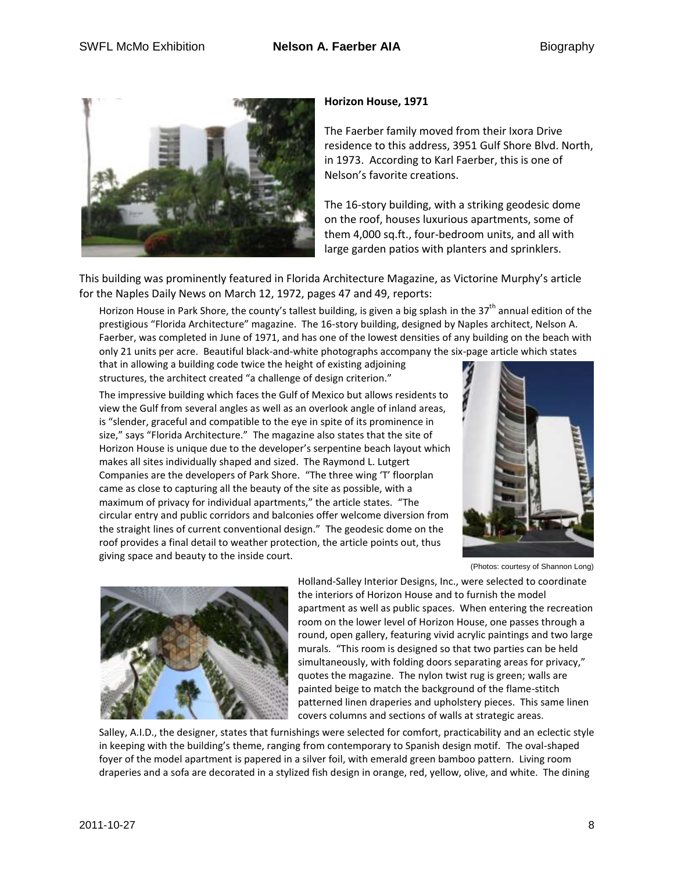

#### **Horizon House, 1971**

The Faerber family moved from their Ixora Drive residence to this address, 3951 Gulf Shore Blvd. North, in 1973. According to Karl Faerber, this is one of Nelson's favorite creations.

The 16-story building, with a striking geodesic dome on the roof, houses luxurious apartments, some of them 4,000 sq.ft., four-bedroom units, and all with large garden patios with planters and sprinklers.

This building was prominently featured in Florida Architecture Magazine, as Victorine Murphy's article for the Naples Daily News on March 12, 1972, pages 47 and 49, reports:

Horizon House in Park Shore, the county's tallest building, is given a big splash in the 37<sup>th</sup> annual edition of the prestigious "Florida Architecture" magazine. The 16-story building, designed by Naples architect, Nelson A. Faerber, was completed in June of 1971, and has one of the lowest densities of any building on the beach with only 21 units per acre. Beautiful black-and-white photographs accompany the six-page article which states

that in allowing a building code twice the height of existing adjoining structures, the architect created "a challenge of design criterion."



The impressive building which faces the Gulf of Mexico but allows residents to view the Gulf from several angles as well as an overlook angle of inland areas, is "slender, graceful and compatible to the eye in spite of its prominence in size," says "Florida Architecture." The magazine also states that the site of Horizon House is unique due to the developer's serpentine beach layout which makes all sites individually shaped and sized. The Raymond L. Lutgert Companies are the developers of Park Shore. "The three wing 'T' floorplan came as close to capturing all the beauty of the site as possible, with a maximum of privacy for individual apartments," the article states. "The circular entry and public corridors and balconies offer welcome diversion from the straight lines of current conventional design." The geodesic dome on the roof provides a final detail to weather protection, the article points out, thus giving space and beauty to the inside court.

(Photos: courtesy of Shannon Long)



Holland-Salley Interior Designs, Inc., were selected to coordinate the interiors of Horizon House and to furnish the model apartment as well as public spaces. When entering the recreation room on the lower level of Horizon House, one passes through a round, open gallery, featuring vivid acrylic paintings and two large murals. "This room is designed so that two parties can be held simultaneously, with folding doors separating areas for privacy," quotes the magazine. The nylon twist rug is green; walls are painted beige to match the background of the flame-stitch patterned linen draperies and upholstery pieces. This same linen covers columns and sections of walls at strategic areas.

Salley, A.I.D., the designer, states that furnishings were selected for comfort, practicability and an eclectic style in keeping with the building's theme, ranging from contemporary to Spanish design motif. The oval-shaped foyer of the model apartment is papered in a silver foil, with emerald green bamboo pattern. Living room draperies and a sofa are decorated in a stylized fish design in orange, red, yellow, olive, and white. The dining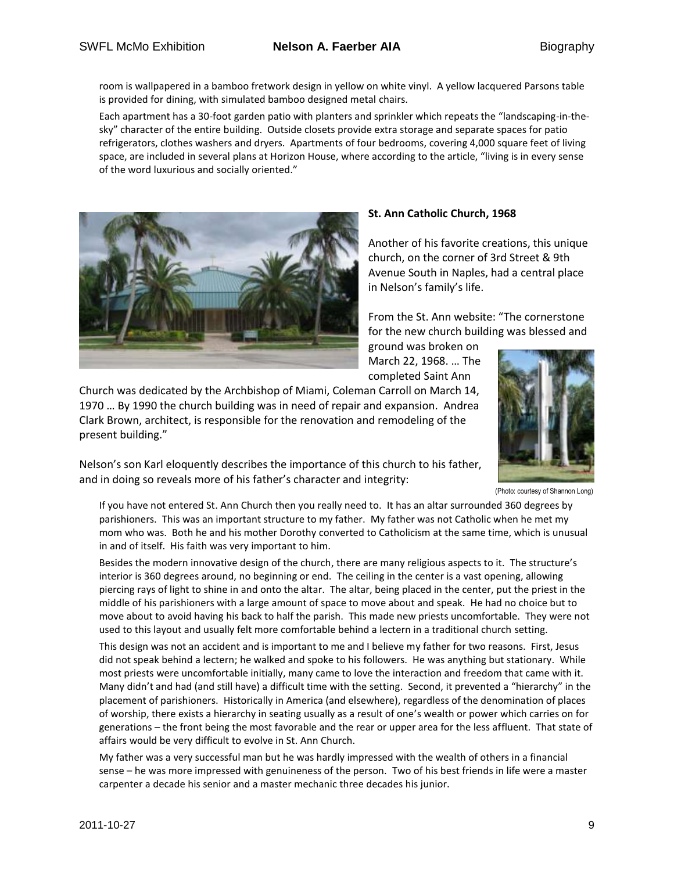room is wallpapered in a bamboo fretwork design in yellow on white vinyl. A yellow lacquered Parsons table is provided for dining, with simulated bamboo designed metal chairs.

Each apartment has a 30-foot garden patio with planters and sprinkler which repeats the "landscaping-in-thesky" character of the entire building. Outside closets provide extra storage and separate spaces for patio refrigerators, clothes washers and dryers. Apartments of four bedrooms, covering 4,000 square feet of living space, are included in several plans at Horizon House, where according to the article, "living is in every sense of the word luxurious and socially oriented."



### **St. Ann Catholic Church, 1968**

Another of his favorite creations, this unique church, on the corner of 3rd Street & 9th Avenue South in Naples, had a central place in Nelson's family's life.

From the St. Ann website: "The cornerstone for the new church building was blessed and

ground was broken on March 22, 1968. … The completed Saint Ann

Church was dedicated by the Archbishop of Miami, Coleman Carroll on March 14, 1970 … By 1990 the church building was in need of repair and expansion. Andrea Clark Brown, architect, is responsible for the renovation and remodeling of the present building."

Nelson's son Karl eloquently describes the importance of this church to his father,

and in doing so reveals more of his father's character and integrity:



(Photo: courtesy of Shannon Long)

If you have not entered St. Ann Church then you really need to. It has an altar surrounded 360 degrees by parishioners. This was an important structure to my father. My father was not Catholic when he met my mom who was. Both he and his mother Dorothy converted to Catholicism at the same time, which is unusual in and of itself. His faith was very important to him.

Besides the modern innovative design of the church, there are many religious aspects to it. The structure's interior is 360 degrees around, no beginning or end. The ceiling in the center is a vast opening, allowing piercing rays of light to shine in and onto the altar. The altar, being placed in the center, put the priest in the middle of his parishioners with a large amount of space to move about and speak. He had no choice but to move about to avoid having his back to half the parish. This made new priests uncomfortable. They were not used to this layout and usually felt more comfortable behind a lectern in a traditional church setting.

This design was not an accident and is important to me and I believe my father for two reasons. First, Jesus did not speak behind a lectern; he walked and spoke to his followers. He was anything but stationary. While most priests were uncomfortable initially, many came to love the interaction and freedom that came with it. Many didn't and had (and still have) a difficult time with the setting. Second, it prevented a "hierarchy" in the placement of parishioners. Historically in America (and elsewhere), regardless of the denomination of places of worship, there exists a hierarchy in seating usually as a result of one's wealth or power which carries on for generations – the front being the most favorable and the rear or upper area for the less affluent. That state of affairs would be very difficult to evolve in St. Ann Church.

My father was a very successful man but he was hardly impressed with the wealth of others in a financial sense – he was more impressed with genuineness of the person. Two of his best friends in life were a master carpenter a decade his senior and a master mechanic three decades his junior.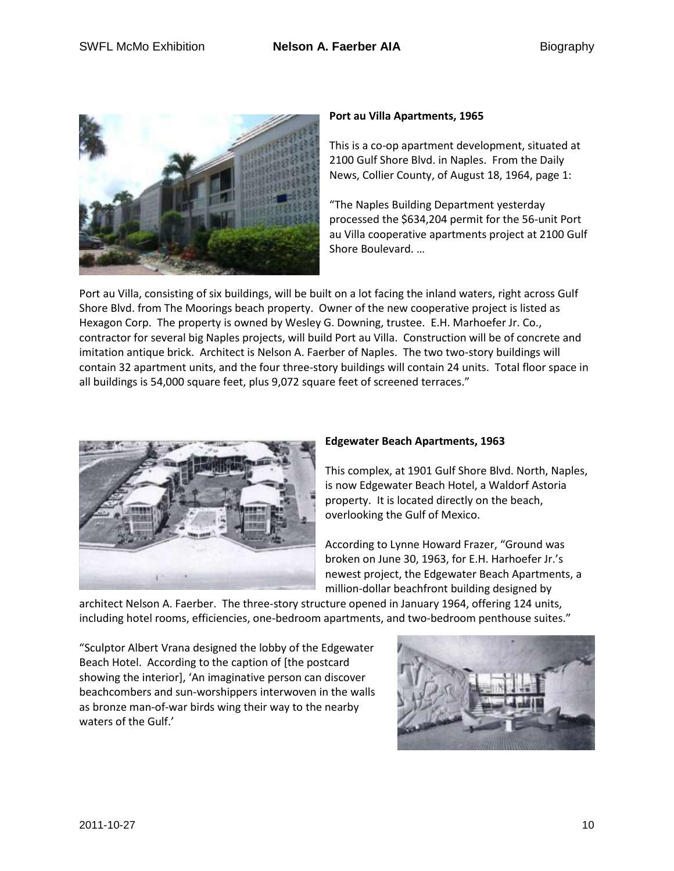

#### **Port au Villa Apartments, 1965**

This is a co-op apartment development, situated at 2100 Gulf Shore Blvd. in Naples. From the Daily News, Collier County, of August 18, 1964, page 1:

"The Naples Building Department yesterday processed the \$634,204 permit for the 56-unit Port au Villa cooperative apartments project at 2100 Gulf Shore Boulevard. …

Port au Villa, consisting of six buildings, will be built on a lot facing the inland waters, right across Gulf Shore Blvd. from The Moorings beach property. Owner of the new cooperative project is listed as Hexagon Corp. The property is owned by Wesley G. Downing, trustee. E.H. Marhoefer Jr. Co., contractor for several big Naples projects, will build Port au Villa. Construction will be of concrete and imitation antique brick. Architect is Nelson A. Faerber of Naples. The two two-story buildings will contain 32 apartment units, and the four three-story buildings will contain 24 units. Total floor space in all buildings is 54,000 square feet, plus 9,072 square feet of screened terraces."



#### **Edgewater Beach Apartments, 1963**

This complex, at 1901 Gulf Shore Blvd. North, Naples, is now Edgewater Beach Hotel, a Waldorf Astoria property. It is located directly on the beach, overlooking the Gulf of Mexico.

According to Lynne Howard Frazer, "Ground was broken on June 30, 1963, for E.H. Harhoefer Jr.'s newest project, the Edgewater Beach Apartments, a million-dollar beachfront building designed by

architect Nelson A. Faerber. The three-story structure opened in January 1964, offering 124 units, including hotel rooms, efficiencies, one-bedroom apartments, and two-bedroom penthouse suites."

"Sculptor Albert Vrana designed the lobby of the Edgewater Beach Hotel. According to the caption of [the postcard showing the interior], 'An imaginative person can discover beachcombers and sun-worshippers interwoven in the walls as bronze man-of-war birds wing their way to the nearby waters of the Gulf.'

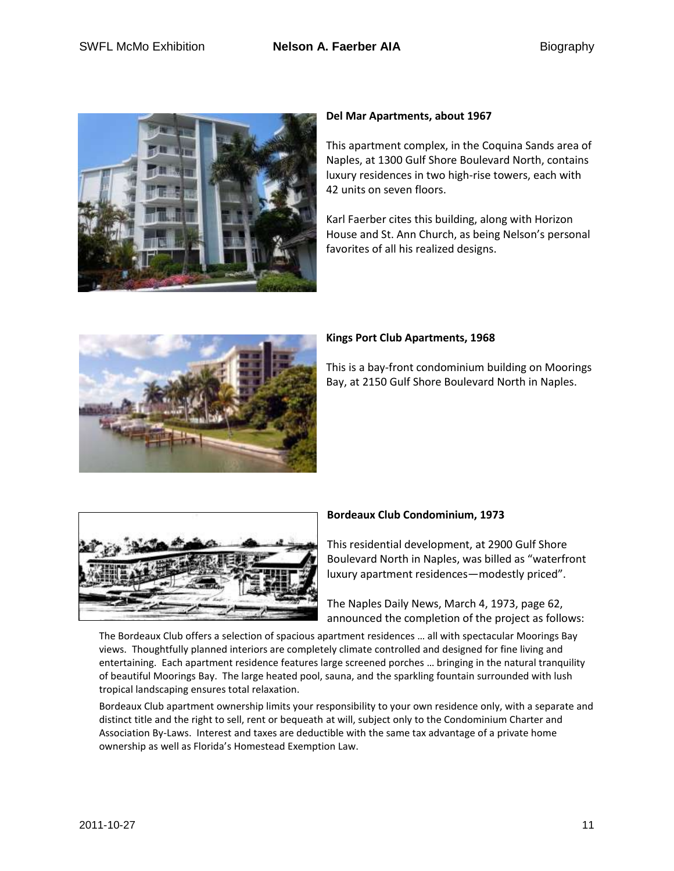

#### **Del Mar Apartments, about 1967**

This apartment complex, in the Coquina Sands area of Naples, at 1300 Gulf Shore Boulevard North, contains luxury residences in two high-rise towers, each with 42 units on seven floors.

Karl Faerber cites this building, along with Horizon House and St. Ann Church, as being Nelson's personal favorites of all his realized designs.



### **Kings Port Club Apartments, 1968**

This is a bay-front condominium building on Moorings Bay, at 2150 Gulf Shore Boulevard North in Naples.



## **Bordeaux Club Condominium, 1973**

This residential development, at 2900 Gulf Shore Boulevard North in Naples, was billed as "waterfront luxury apartment residences—modestly priced".

The Naples Daily News, March 4, 1973, page 62, announced the completion of the project as follows:

The Bordeaux Club offers a selection of spacious apartment residences … all with spectacular Moorings Bay views. Thoughtfully planned interiors are completely climate controlled and designed for fine living and entertaining. Each apartment residence features large screened porches … bringing in the natural tranquility of beautiful Moorings Bay. The large heated pool, sauna, and the sparkling fountain surrounded with lush tropical landscaping ensures total relaxation.

Bordeaux Club apartment ownership limits your responsibility to your own residence only, with a separate and distinct title and the right to sell, rent or bequeath at will, subject only to the Condominium Charter and Association By-Laws. Interest and taxes are deductible with the same tax advantage of a private home ownership as well as Florida's Homestead Exemption Law.